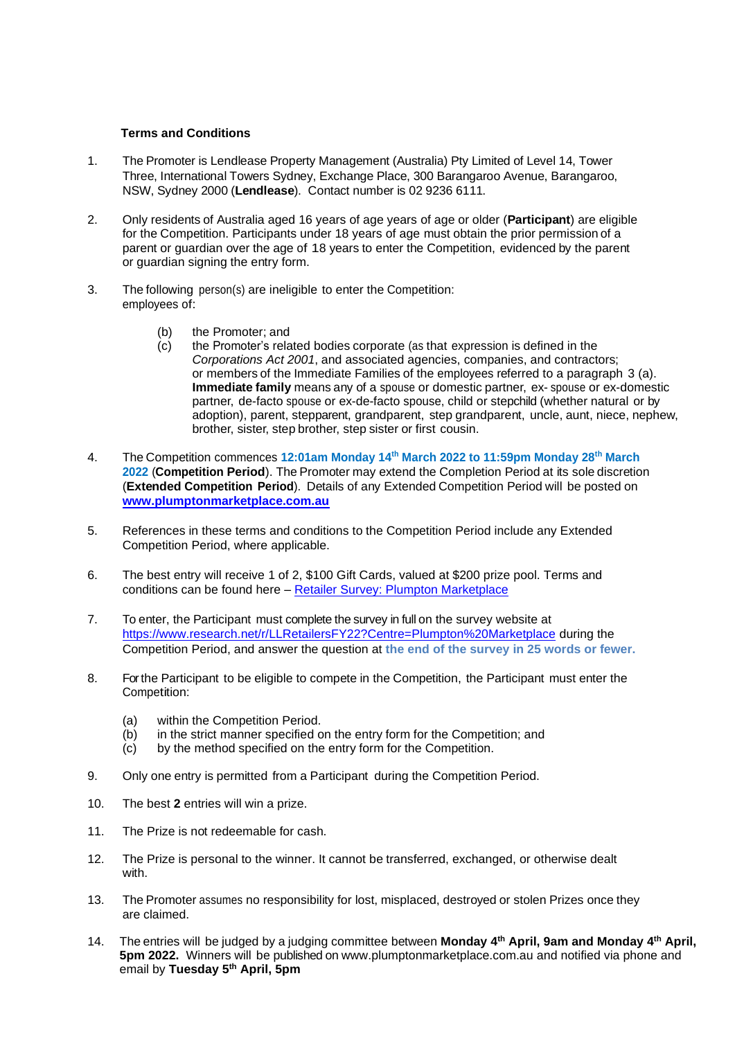## **Terms and Conditions**

- 1. The Promoter is Lendlease Property Management (Australia) Pty Limited of Level 14, Tower Three, International Towers Sydney, Exchange Place, 300 Barangaroo Avenue, Barangaroo, NSW, Sydney 2000 (**Lendlease**). Contact number is 02 9236 6111.
- 2. Only residents of Australia aged 16 years of age years of age or older (**Participant**) are eligible for the Competition. Participants under 18 years of age must obtain the prior permission of a parent or guardian over the age of 18 years to enter the Competition, evidenced by the parent or guardian signing the entry form.
- 3. The following person(s) are ineligible to enter the Competition: employees of:
	- (b) the Promoter; and
	- (c) the Promoter's related bodies corporate (as that expression is defined in the *Corporations Act 2001*, and associated agencies, companies, and contractors; or members of the Immediate Families of the employees referred to a paragraph 3 (a). **Immediate family** means any of a spouse or domestic partner, ex- spouse or ex-domestic partner, de-facto spouse or ex-de-facto spouse, child or stepchild (whether natural or by adoption), parent, stepparent, grandparent, step grandparent, uncle, aunt, niece, nephew, brother, sister, step brother, step sister or first cousin.
- 4. The Competition commences **12:01am Monday 14th March 2022 to 11:59pm Monday 28th March 2022** (**Competition Period**). The Promoter may extend the Completion Period at its sole discretion (**Extended Competition Period**). Details of any Extended Competition Period will be posted on **[www.plumptonmarketplace.com.au](file:///C:/Users/infl513/AppData/Local/Microsoft/Windows/INetCache/Content.Outlook/YIKS69BQ/www.plumptonmarketplace.com.au)**
- 5. References in these terms and conditions to the Competition Period include any Extended Competition Period, where applicable.
- 6. The best entry will receive 1 of 2, \$100 Gift Cards, valued at \$200 prize pool. Terms and conditions can be found here – [Retailer Survey: Plumpton Marketplace](https://www.plumptonmarketplace.com.au/centre-information/retailer-survey/)
- 7. To enter, the Participant must complete the survey in full on the survey website at [https://www.research.net/r/LLRetailersFY22?Centre=Plumpton%20Marketplace](https://nam12.safelinks.protection.outlook.com/?url=https%3A%2F%2Fwww.research.net%2Fr%2FLLRetailersFY22%3FCentre%3DPlumpton%2520Marketplace&data=04%7C01%7CLaura.Inferrera%40lendlease.com%7C5c710c7acca84cebc75008da0189c883%7Cbc0c325b6efc4ca89e4611b50fe2aab5%7C0%7C0%7C637823988609358596%7CUnknown%7CTWFpbGZsb3d8eyJWIjoiMC4wLjAwMDAiLCJQIjoiV2luMzIiLCJBTiI6Ik1haWwiLCJXVCI6Mn0%3D%7C3000&sdata=z5%2Bo3OE3jgMK61%2FB8AosnKAKXyB4esW4yvHuRT8%2FTso%3D&reserved=0) during the Competition Period, and answer the question at **the end of the survey in 25 words or fewer.**
- 8. Forthe Participant to be eligible to compete in the Competition, the Participant must enter the Competition:
	- (a) within the Competition Period.<br>(b) in the strict manner specified of
	- in the strict manner specified on the entry form for the Competition; and
	- (c) by the method specified on the entry form for the Competition.
- 9. Only one entry is permitted from a Participant during the Competition Period.
- 10. The best **2** entries will win a prize.
- 11. The Prize is not redeemable for cash.
- 12. The Prize is personal to the winner. It cannot be transferred, exchanged, or otherwise dealt with.
- 13. The Promoter assumes no responsibility for lost, misplaced, destroyed or stolen Prizes once they are claimed.
- 14. The entries will be judged by a judging committee between **Monday 4 th April, 9am and Monday 4 th April, 5pm 2022.** Winners will be published on www.plumptonmarketplace.com.au and notified via phone and email by **Tuesday 5 th April, 5pm**